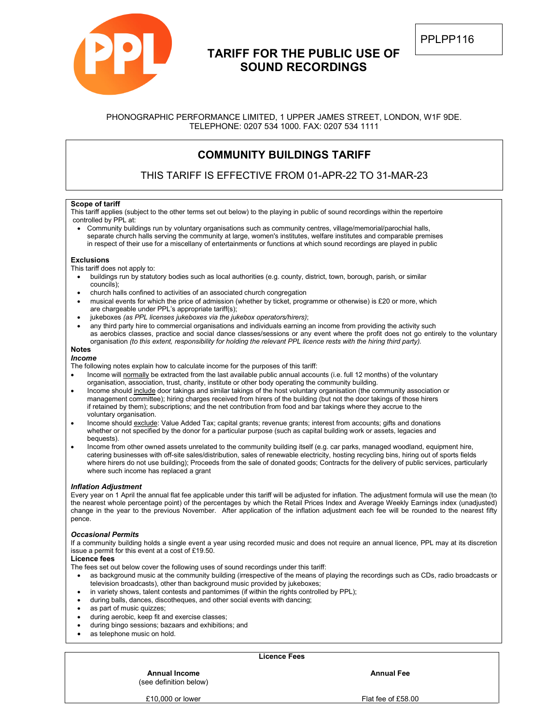

# **TARIFF FOR THE PUBLIC USE OF SOUND RECORDINGS**

## PHONOGRAPHIC PERFORMANCE LIMITED, 1 UPPER JAMES STREET, LONDON, W1F 9DE. TELEPHONE: 0207 534 1000. FAX: 0207 534 1111

# **COMMUNITY BUILDINGS TARIFF**

THIS TARIFF IS EFFECTIVE FROM 01-APR-22 TO 31-MAR-23

## **Scope of tariff**

This tariff applies (subject to the other terms set out below) to the playing in public of sound recordings within the repertoire controlled by PPL at:

• Community buildings run by voluntary organisations such as community centres, village/memorial/parochial halls, separate church halls serving the community at large, women's institutes, welfare institutes and comparable premises in respect of their use for a miscellany of entertainments or functions at which sound recordings are played in public

#### **Exclusions**

This tariff does not apply to:

- buildings run by statutory bodies such as local authorities (e.g. county, district, town, borough, parish, or similar councils);
- church halls confined to activities of an associated church congregation
- musical events for which the price of admission (whether by ticket, programme or otherwise) is £20 or more, which are chargeable under PPL's appropriate tariff(s);
- jukeboxes *(as PPL licenses jukeboxes via the jukebox operators/hirers)*;
- any third party hire to commercial organisations and individuals earning an income from providing the activity such as aerobics classes, practice and social dance classes/sessions or any event where the profit does not go entirely to the voluntary organisation *(to this extent, responsibility for holding the relevant PPL licence rests with the hiring third party).*

#### **Notes** *Income*

The following notes explain how to calculate income for the purposes of this tariff:

- Income will normally be extracted from the last available public annual accounts (i.e. full 12 months) of the voluntary organisation, association, trust, charity, institute or other body operating the community building.
- Income should include door takings and similar takings of the host voluntary organisation (the community association or management committee); hiring charges received from hirers of the building (but not the door takings of those hirers if retained by them); subscriptions; and the net contribution from food and bar takings where they accrue to the voluntary organisation.
- Income should exclude: Value Added Tax; capital grants; revenue grants; interest from accounts; gifts and donations whether or not specified by the donor for a particular purpose (such as capital building work or assets, legacies and bequests).
- Income from other owned assets unrelated to the community building itself (e.g. car parks, managed woodland, equipment hire, catering businesses with off-site sales/distribution, sales of renewable electricity, hosting recycling bins, hiring out of sports fields where hirers do not use building); Proceeds from the sale of donated goods; Contracts for the delivery of public services, particularly where such income has replaced a grant

### *Inflation Adjustment*

Every year on 1 April the annual flat fee applicable under this tariff will be adjusted for inflation. The adjustment formula will use the mean (to the nearest whole percentage point) of the percentages by which the Retail Prices Index and Average Weekly Earnings index (unadjusted) change in the year to the previous November. After application of the inflation adjustment each fee will be rounded to the nearest fifty pence.

### *Occasional Permits*

If a community building holds a single event a year using recorded music and does not require an annual licence, PPL may at its discretion issue a permit for this event at a cost of £19.50.

## **Licence fees**

The fees set out below cover the following uses of sound recordings under this tariff:

- as background music at the community building (irrespective of the means of playing the recordings such as CDs, radio broadcasts or television broadcasts), other than background music provided by jukeboxes;
- in variety shows, talent contests and pantomimes (if within the rights controlled by PPL);
- during balls, dances, discotheques, and other social events with dancing;
- as part of music quizzes;
- during aerobic, keep fit and exercise classes;
- during bingo sessions; bazaars and exhibitions; and
- as telephone music on hold.

**Licence Fees**

(see definition below)

**Annual Income Annual Fee**

£10,000 or lower Flat fee of £58.00